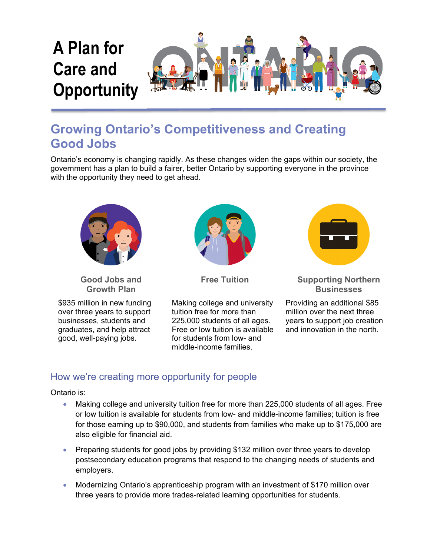

# **Growing Ontario's Competitiveness and Creating Good Jobs**

Ontario's economy is changing rapidly. As these changes widen the gaps within our society, the government has a plan to build a fairer, better Ontario by supporting everyone in the province with the opportunity they need to get ahead.



**Good Jobs and Growth Plan** 

\$935 million in new funding over three years to support businesses, students and graduates, and help attract good, well-paying jobs.



Making college and university tuition free for more than 225,000 students of all ages. Free or low tuition is available for students from low- and middle-income families.



#### **Free Tuition Supporting Northern Businesses**

Providing an additional \$85 million over the next three years to support job creation and innovation in the north.

# How we're creating more opportunity for people

Ontario is:

- Making college and university tuition free for more than 225,000 students of all ages. Free or low tuition is available for students from low- and middle-income families; tuition is free for those earning up to \$90,000, and students from families who make up to \$175,000 are also eligible for financial aid.
- Preparing students for good jobs by providing \$132 million over three years to develop postsecondary education programs that respond to the changing needs of students and employers.
- Modernizing Ontario's apprenticeship program with an investment of \$170 million over three years to provide more trades-related learning opportunities for students.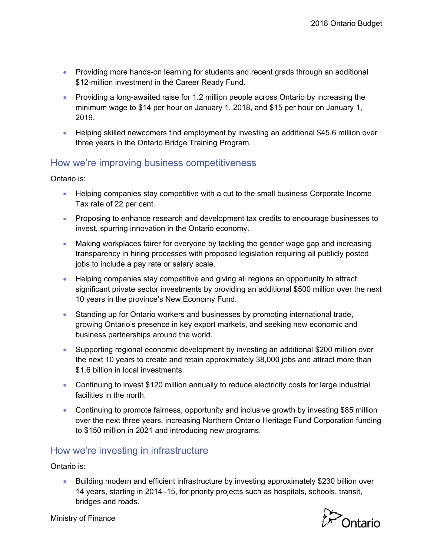- Providing more hands-on learning for students and recent grads through an additional \$12-million investment in the Career Ready Fund.
- Providing a long-awaited raise for 1.2 million people across Ontario by increasing the minimum wage to \$14 per hour on January 1, 2018, and \$15 per hour on January 1, 2019.
- Helping skilled newcomers find employment by investing an additional \$45.6 million over three years in the Ontario Bridge Training Program.

## How we're improving business competitiveness

Ontario is:

- Helping companies stay competitive with a cut to the small business Corporate Income Tax rate of 22 per cent.
- Proposing to enhance research and development tax credits to encourage businesses to invest, spurring innovation in the Ontario economy.
- Making workplaces fairer for everyone by tackling the gender wage gap and increasing transparency in hiring processes with proposed legislation requiring all publicly posted jobs to include a pay rate or salary scale.
- Helping companies stay competitive and giving all regions an opportunity to attract significant private sector investments by providing an additional \$500 million over the next 10 years in the province's New Economy Fund.
- Standing up for Ontario workers and businesses by promoting international trade, growing Ontario's presence in key export markets, and seeking new economic and business partnerships around the world.
- Supporting regional economic development by investing an additional \$200 million over the next 10 years to create and retain approximately 38,000 jobs and attract more than \$1.6 billion in local investments.
- Continuing to invest \$120 million annually to reduce electricity costs for large industrial facilities in the north.
- Continuing to promote fairness, opportunity and inclusive growth by investing \$85 million over the next three years, increasing Northern Ontario Heritage Fund Corporation funding to \$150 million in 2021 and introducing new programs.

## How we're investing in infrastructure

Ontario is:

 Building modern and efficient infrastructure by investing approximately \$230 billion over 14 years, starting in 2014–15, for priority projects such as hospitals, schools, transit, bridges and roads.



Ministry of Finance